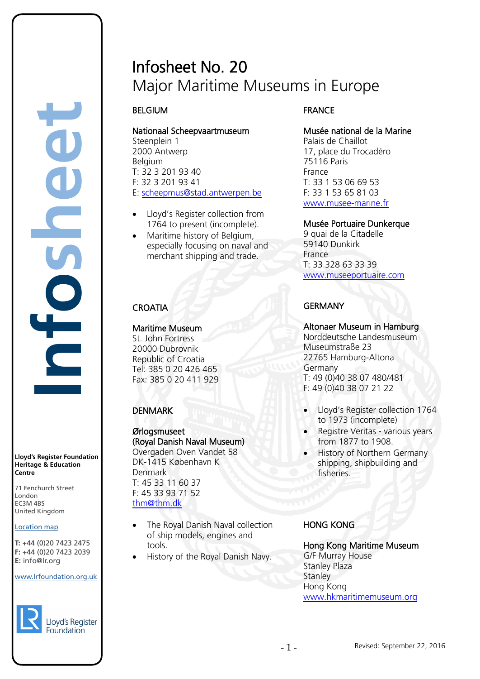# Infosheet No. 20 Major Maritime Museums in Europe

# BELGIUM

Nationaal Scheepvaartmuseum Steenplein 1 2000 Antwerp Belgium T: 32 3 201 93 40 F: 32 3 201 93 41 E: [scheepmus@stad.antwerpen.be](mailto:scheepmus@stad.antwerpen.be)

- Lloyd's Register collection from 1764 to present (incomplete).
- Maritime history of Belgium, especially focusing on naval and merchant shipping and trade.

# **CROATIA**

### Maritime Museum

St. John Fortress 20000 Dubrovnik Republic of Croatia Tel: 385 0 20 426 465 Fax: 385 0 20 411 929

# **DENMARK**

#### Ørlogsmuseet (Royal Danish Naval Museum) Overgaden Oven Vandet 58 DK-1415 København K Denmark

T: 45 33 11 60 37 F: 45 33 93 71 52 [thm@thm.dk](mailto:thm@thm.dk) 

- The Royal Danish Naval collection of ship models, engines and tools.
- History of the Royal Danish Navy.

# FRANCE

# Musée national de la Marine

Palais de Chaillot 17, place du Trocadéro 75116 Paris France T: 33 1 53 06 69 53 F: 33 1 53 65 81 03 [www.musee-marine.fr](http://www.musee-marine.fr/) 

### Musée Portuaire Dunkerque

9 quai de la Citadelle 59140 Dunkirk France T: 33 328 63 33 39 [www.museeportuaire.com](http://www.museeportuaire.com/) 

# **GFRMANY**

### Altonaer Museum in Hamburg

Norddeutsche Landesmuseum Museumstraße 23 22765 Hamburg-Altona Germany T: 49 (0)40 38 07 480/481 F: 49 (0)40 38 07 21 22

- Lloyd's Register collection 1764 to 1973 (incomplete)
- Registre Veritas various years from 1877 to 1908.
- History of Northern Germany shipping, shipbuilding and fisheries.

# HONG KONG

# Hong Kong Maritime Museum G/F Murray House

Stanley Plaza **Stanley** Hong Kong [www.hkmaritimemuseum.org](http://www.hkmaritimemuseum.org/)

#### **Lloyd's Register Foundation Heritage & Education Centre**

**Infosheet**

FC

71 Fenchurch Street 7 Thematen Server<br>London EC3M 4BS United Kingdom

### Location map

T: +44 (0)20 7423 2475 **F:** +44 (0)20 7423 2039 Fax: +44 (0)20 7423 2039 **E:** info@lr.org  $E \rightarrow 0/20$   $1 + 23$  2033 rd's Register Foundat<br>
itage & Education<br>
tre<br>
Eenchurch Street<br>
don<br>
M 4BS<br>
ted Kingdom<br>
ation map<br>
44 (0)20 7423 2475<br>
44 (0)20 7423 2039<br>
mfo@lr.org

#### www.lrfoundation.org.uk

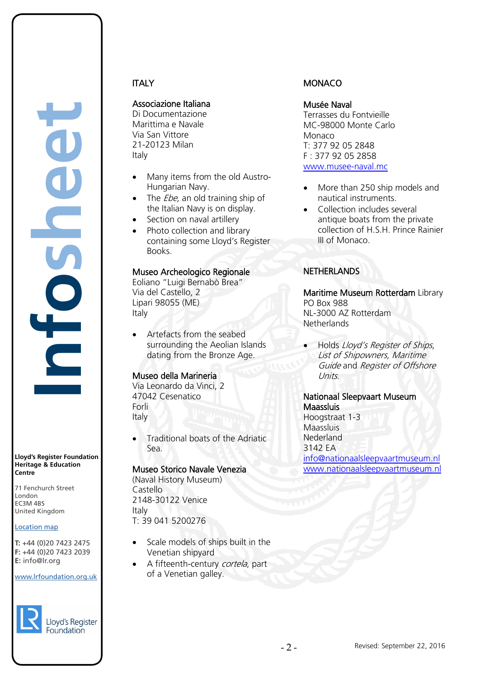**Lloyd's Register Foundation Heritage & Education Centre**

71 Fenchurch Street 7 Thematen Server<br>London EC3M 4BS United Kingdom

#### Location map

T: +44 (0)20 7423 2475 **F:** +44 (0)20 7423 2039 Fax: +44 (0)20 7423 2039 **E:** info@lr.org  $E \rightarrow 0/20$   $1 + 23$  2033

#### www.lrfoundation.org.uk



# **ITALY**

Associazione Italiana

Di Documentazione Marittima e Navale Via San Vittore 21-20123 Milan Italy

- Many items from the old Austro-Hungarian Navy.
- The  $Ebe$ , an old training ship of the Italian Navy is on display.
- Section on naval artillery
- Photo collection and library containing some Lloyd's Register Books.

### Museo Archeologico Regionale

Eoliano "Luigi Bernabò Brea" Via del Castello, 2 Lipari 98055 (ME) Italy

• Artefacts from the seabed surrounding the Aeolian Islands dating from the Bronze Age.

### Museo della Marineria

Via Leonardo da Vinci, 2 47042 Cesenatico Forli Italy

• Traditional boats of the Adriatic Sea.

### Museo Storico Navale Venezia

(Naval History Museum) Castello 2148-30122 Venice Italy T: 39 041 5200276

- Scale models of ships built in the Venetian shipyard
- A fifteenth-century cortela, part of a Venetian galley.

### **MONACO**

#### Musée Naval

Terrasses du Fontvieille MC-98000 Monte Carlo Monaco T: 377 92 05 2848 F : 377 92 05 2858 [www.musee-naval.mc](http://www.musee-naval.mc/) 

- More than 250 ship models and nautical instruments.
- Collection includes several antique boats from the private collection of H.S.H. Prince Rainier III of Monaco.

### NETHERLANDS

Maritime Museum Rotterdam Library PO Box 988 NL-3000 AZ Rotterdam **Netherlands** 

• Holds Lloyd's Register of Ships, List of Shipowners, Maritime Guide and Register of Offshore Units.

# Nationaal Sleepvaart Museum **Maassluis**

Hoogstraat 1-3 Maassluis Nederland 3142 EA [info@nationaalsleepvaartmuseum.nl](mailto:info@nationaalsleepvaartmuseum.nl) [www.nationaalsleepvaartmuseum.nl](http://www.nationaalsleepvaartmuseum.nl/)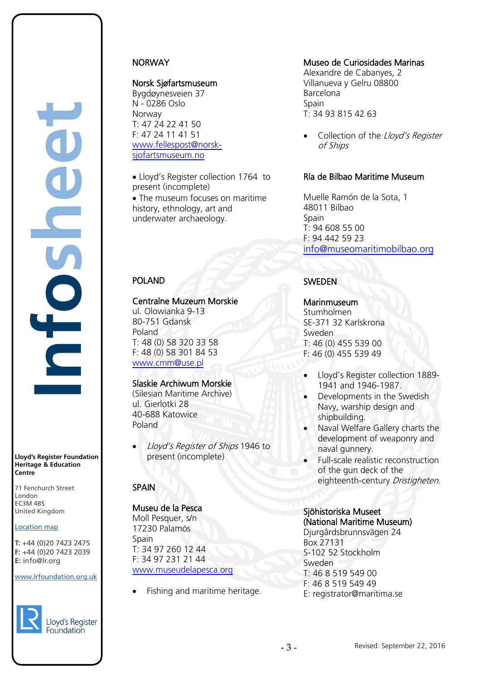#### **Lloyd's Register Foundation Heritage & Education Centre**

71 Fenchurch Street 7 Thematen Server<br>London EC3M 4BS United Kingdom

### Location map

T: +44 (0)20 7423 2475 **F:** +44 (0)20 7423 2039 Fax: +44 (0)20 7423 2039 **E:** info@lr.org  $E \rightarrow 0/20$   $1 + 23$  2033

### www.lrfoundation.org.uk



### Lloyd's Register Foundation

# **NORWAY**

# Norsk Sjøfartsmuseum

Bygdøynesveien 37 N - 0286 Oslo Norway T: 47 24 22 41 50 F: 47 24 11 41 51 [www.fellespost@norsk](http://www.fellespost@norsk-sjofartsmuseum.no/)[sjofartsmuseum.no](http://www.fellespost@norsk-sjofartsmuseum.no/) 

• Lloyd's Register collection 1764 to present (incomplete) • The museum focuses on maritime

history, ethnology, art and underwater archaeology.

# POLAND

### Centralne Muzeum Morskie

ul. Olowianka 9-13 80-751 Gdansk Poland T: 48 (0) 58 320 33 58 F: 48 (0) 58 301 84 53 [www.cmm@use.pl](http://www.cmm@use.pl/) 

# Slaskie Archiwum Morskie

(Silesian Maritime Archive) ul. Gierlotki 28 40-688 Katowice Poland

• Lloyd's Register of Ships 1946 to present (incomplete)

# **SPAIN**

# Museu de la Pesca

Moll Pesquer, s/n 17230 Palamós **Spain** T: 34 97 260 12 44 F: 34 97 231 21 44 [www.museudelapesca.org](http://www.museudelapesca.org/)

• Fishing and maritime heritage.

# Museo de Curiosidades Marinas

Alexandre de Cabanyes, 2 Villanueva y Gelru 08800 Barcelona **Spain** T: 34 93 815 42 63

Collection of the Lloyd's Register of Ships

### [Ría de Bilbao Maritime Museum](http://www.museomaritimobilbao.org/)

Muelle Ramón de la Sota, 1 48011 Bilbao Spain T: 94 608 55 00 F: 94 442 59 23 [info@museomaritimobilbao.org](mailto:info@museomaritimobilbao.org)

# SWEDEN

### **Marinmuseum**

Stumholmen SE-371 32 Karlskrona Sweden T: 46 (0) 455 539 00 F: 46 (0) 455 539 49

- Lloyd's Register collection 1889- 1941 and 1946-1987.
- Developments in the Swedish Navy, warship design and shipbuilding.
- Naval Welfare Gallery charts the development of weaponry and naval gunnery.
- Full-scale realistic reconstruction of the gun deck of the eighteenth-century Dristigheten.

#### Sjöhistoriska Museet (National Maritime Museum)

Djurgårdsbrunnsvägen 24 Box 27131 S-102 52 Stockholm Sweden T: 46 8 519 549 00 F: 46 8 519 549 49 E: registrator@maritima.se